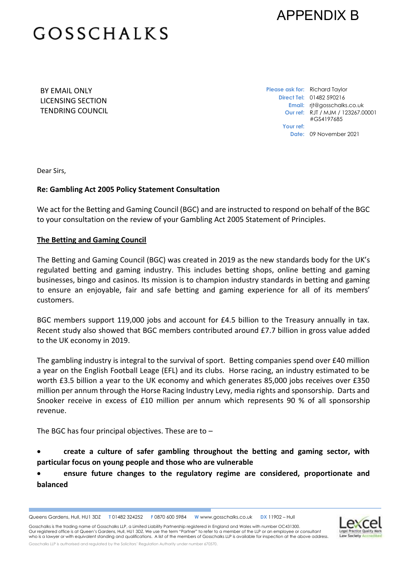

# **GOSSCHALKS**

BY EMAIL ONLY LICENSING SECTION TENDRING COUNCIL **Please ask for:** Richard Taylor **Direct Tel:** 01482 590216 **Email:** rjt@gosschalks.co.uk **Our ref:** RJT / MJM / 123267.00001 #GS4197685 **Your ref: Date:** 09 November 2021

Dear Sirs,

### **Re: Gambling Act 2005 Policy Statement Consultation**

We act for the Betting and Gaming Council (BGC) and are instructed to respond on behalf of the BGC to your consultation on the review of your Gambling Act 2005 Statement of Principles.

#### **The Betting and Gaming Council**

The Betting and Gaming Council (BGC) was created in 2019 as the new standards body for the UK's regulated betting and gaming industry. This includes betting shops, online betting and gaming businesses, bingo and casinos. Its mission is to champion industry standards in betting and gaming to ensure an enjoyable, fair and safe betting and gaming experience for all of its members' customers.

BGC members support 119,000 jobs and account for £4.5 billion to the Treasury annually in tax. Recent study also showed that BGC members contributed around £7.7 billion in gross value added to the UK economy in 2019.

The gambling industry is integral to the survival of sport. Betting companies spend over £40 million a year on the English Football Leage (EFL) and its clubs. Horse racing, an industry estimated to be worth £3.5 billion a year to the UK economy and which generates 85,000 jobs receives over £350 million per annum through the Horse Racing Industry Levy, media rights and sponsorship. Darts and Snooker receive in excess of £10 million per annum which represents 90 % of all sponsorship revenue.

The BGC has four principal objectives. These are to  $-$ 

 **create a culture of safer gambling throughout the betting and gaming sector, with particular focus on young people and those who are vulnerable**

 **ensure future changes to the regulatory regime are considered, proportionate and balanced**

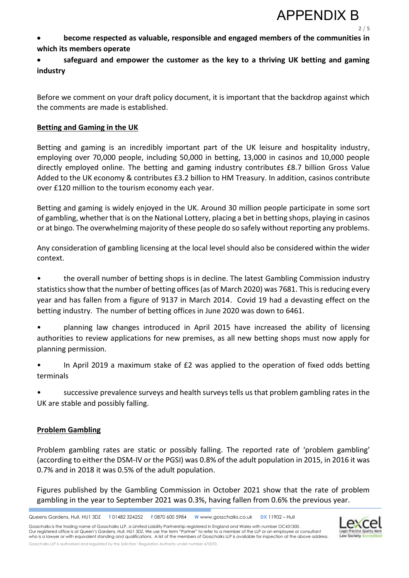

**2** / **5**

- **become respected as valuable, responsible and engaged members of the communities in which its members operate**
- **safeguard and empower the customer as the key to a thriving UK betting and gaming industry**

Before we comment on your draft policy document, it is important that the backdrop against which the comments are made is established.

## **Betting and Gaming in the UK**

Betting and gaming is an incredibly important part of the UK leisure and hospitality industry, employing over 70,000 people, including 50,000 in betting, 13,000 in casinos and 10,000 people directly employed online. The betting and gaming industry contributes £8.7 billion Gross Value Added to the UK economy & contributes £3.2 billion to HM Treasury. In addition, casinos contribute over £120 million to the tourism economy each year.

Betting and gaming is widely enjoyed in the UK. Around 30 million people participate in some sort of gambling, whether that is on the National Lottery, placing a bet in betting shops, playing in casinos or at bingo. The overwhelming majority of these people do so safely without reporting any problems.

Any consideration of gambling licensing at the local level should also be considered within the wider context.

• the overall number of betting shops is in decline. The latest Gambling Commission industry statistics show that the number of betting offices (as of March 2020) was 7681. This is reducing every year and has fallen from a figure of 9137 in March 2014. Covid 19 had a devasting effect on the betting industry. The number of betting offices in June 2020 was down to 6461.

• planning law changes introduced in April 2015 have increased the ability of licensing authorities to review applications for new premises, as all new betting shops must now apply for planning permission.

• In April 2019 a maximum stake of £2 was applied to the operation of fixed odds betting terminals

• successive prevalence surveys and health surveys tells us that problem gambling rates in the UK are stable and possibly falling.

### **Problem Gambling**

Problem gambling rates are static or possibly falling. The reported rate of 'problem gambling' (according to either the DSM-IV or the PGSI) was 0.8% of the adult population in 2015, in 2016 it was 0.7% and in 2018 it was 0.5% of the adult population.

Figures published by the Gambling Commission in October 2021 show that the rate of problem gambling in the year to September 2021 was 0.3%, having fallen from 0.6% the previous year.

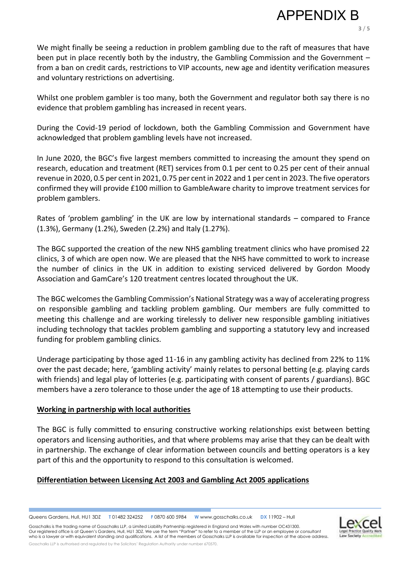**3** / **5**

We might finally be seeing a reduction in problem gambling due to the raft of measures that have been put in place recently both by the industry, the Gambling Commission and the Government – from a ban on credit cards, restrictions to VIP accounts, new age and identity verification measures and voluntary restrictions on advertising.

Whilst one problem gambler is too many, both the Government and regulator both say there is no evidence that problem gambling has increased in recent years.

During the Covid-19 period of lockdown, both the Gambling Commission and Government have acknowledged that problem gambling levels have not increased.

In June 2020, the BGC's five largest members committed to increasing the amount they spend on research, education and treatment (RET) services from 0.1 per cent to 0.25 per cent of their annual revenue in 2020, 0.5 per cent in 2021, 0.75 per cent in 2022 and 1 per cent in 2023. The five operators confirmed they will provide £100 million to GambleAware charity to improve treatment services for problem gamblers.

Rates of 'problem gambling' in the UK are low by international standards – compared to France (1.3%), Germany (1.2%), Sweden (2.2%) and Italy (1.27%).

The BGC supported the creation of the new NHS gambling treatment clinics who have promised 22 clinics, 3 of which are open now. We are pleased that the NHS have committed to work to increase the number of clinics in the UK in addition to existing serviced delivered by Gordon Moody Association and GamCare's 120 treatment centres located throughout the UK.

The BGC welcomes the Gambling Commission's National Strategy was a way of accelerating progress on responsible gambling and tackling problem gambling. Our members are fully committed to meeting this challenge and are working tirelessly to deliver new responsible gambling initiatives including technology that tackles problem gambling and supporting a statutory levy and increased funding for problem gambling clinics.

Underage participating by those aged 11-16 in any gambling activity has declined from 22% to 11% over the past decade; here, 'gambling activity' mainly relates to personal betting (e.g. playing cards with friends) and legal play of lotteries (e.g. participating with consent of parents / guardians). BGC members have a zero tolerance to those under the age of 18 attempting to use their products.

### **Working in partnership with local authorities**

The BGC is fully committed to ensuring constructive working relationships exist between betting operators and licensing authorities, and that where problems may arise that they can be dealt with in partnership. The exchange of clear information between councils and betting operators is a key part of this and the opportunity to respond to this consultation is welcomed.

# **Differentiation between Licensing Act 2003 and Gambling Act 2005 applications**

Queens Gardens, Hull, HU1 3DZ. **T** 01482 324252. **F** 0870 600 5984 **W** www.gosschalks.co.uk . **DX** 11902 – Hull

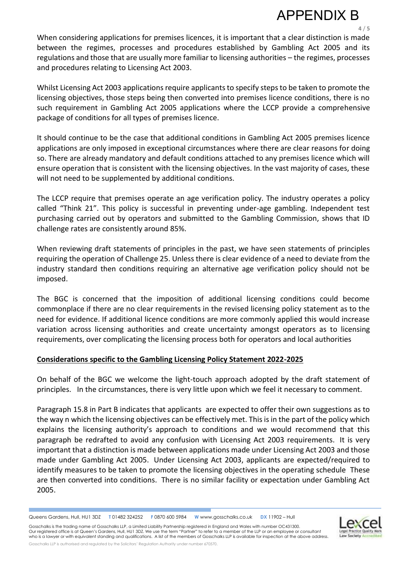# APPENDIX B

**4** / **5**

When considering applications for premises licences, it is important that a clear distinction is made between the regimes, processes and procedures established by Gambling Act 2005 and its regulations and those that are usually more familiar to licensing authorities – the regimes, processes and procedures relating to Licensing Act 2003.

Whilst Licensing Act 2003 applications require applicants to specify steps to be taken to promote the licensing objectives, those steps being then converted into premises licence conditions, there is no such requirement in Gambling Act 2005 applications where the LCCP provide a comprehensive package of conditions for all types of premises licence.

It should continue to be the case that additional conditions in Gambling Act 2005 premises licence applications are only imposed in exceptional circumstances where there are clear reasons for doing so. There are already mandatory and default conditions attached to any premises licence which will ensure operation that is consistent with the licensing objectives. In the vast majority of cases, these will not need to be supplemented by additional conditions.

The LCCP require that premises operate an age verification policy. The industry operates a policy called "Think 21". This policy is successful in preventing under-age gambling. Independent test purchasing carried out by operators and submitted to the Gambling Commission, shows that ID challenge rates are consistently around 85%.

When reviewing draft statements of principles in the past, we have seen statements of principles requiring the operation of Challenge 25. Unless there is clear evidence of a need to deviate from the industry standard then conditions requiring an alternative age verification policy should not be imposed.

The BGC is concerned that the imposition of additional licensing conditions could become commonplace if there are no clear requirements in the revised licensing policy statement as to the need for evidence. If additional licence conditions are more commonly applied this would increase variation across licensing authorities and create uncertainty amongst operators as to licensing requirements, over complicating the licensing process both for operators and local authorities

# **Considerations specific to the Gambling Licensing Policy Statement 2022-2025**

On behalf of the BGC we welcome the light-touch approach adopted by the draft statement of principles. In the circumstances, there is very little upon which we feel it necessary to comment.

Paragraph 15.8 in Part B indicates that applicants are expected to offer their own suggestions as to the way n which the licensing objectives can be effectively met. This is in the part of the policy which explains the licensing authority's approach to conditions and we would recommend that this paragraph be redrafted to avoid any confusion with Licensing Act 2003 requirements. It is very important that a distinction is made between applications made under Licensing Act 2003 and those made under Gambling Act 2005. Under Licensing Act 2003, applicants are expected/required to identify measures to be taken to promote the licensing objectives in the operating schedule These are then converted into conditions. There is no similar facility or expectation under Gambling Act 2005.

Queens Gardens, Hull, HU1 3DZ. **T** 01482 324252. **F** 0870 600 5984 **W** www.gosschalks.co.uk . **DX** 11902 – Hull